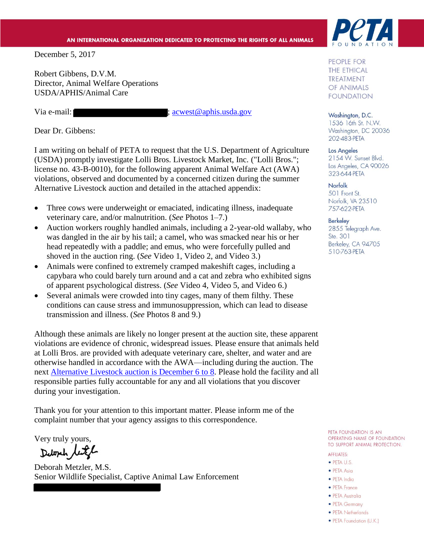#### AN INTERNATIONAL ORGANIZATION DEDICATED TO PROTECTING THE RIGHTS OF ALL ANIMALS

December 5, 2017

Robert Gibbens, D.V.M. Director, Animal Welfare Operations USDA/APHIS/Animal Care

Via e-mail:  $\frac{1}{2}$  is extended in the set of a phis.usda.gov

Dear Dr. Gibbens:

I am writing on behalf of PETA to request that the U.S. Department of Agriculture (USDA) promptly investigate Lolli Bros. Livestock Market, Inc. ("Lolli Bros."; license no. 43-B-0010), for the following apparent Animal Welfare Act (AWA) violations, observed and documented by a concerned citizen during the summer Alternative Livestock auction and detailed in the attached appendix:

- Three cows were underweight or emaciated, indicating illness, inadequate veterinary care, and/or malnutrition. (*See* Photos 1–7.)
- Auction workers roughly handled animals, including a 2-year-old wallaby, who was dangled in the air by his tail; a camel, who was smacked near his or her head repeatedly with a paddle; and emus, who were forcefully pulled and shoved in the auction ring. (*See* Video 1, Video 2, and Video 3.)
- Animals were confined to extremely cramped makeshift cages, including a capybara who could barely turn around and a cat and zebra who exhibited signs of apparent psychological distress. (*See* Video 4, Video 5, and Video 6.)
- Several animals were crowded into tiny cages, many of them filthy. These conditions can cause stress and immunosuppression, which can lead to disease transmission and illness. (*See* Photos 8 and 9.)

Although these animals are likely no longer present at the auction site, these apparent violations are evidence of chronic, widespread issues. Please ensure that animals held at Lolli Bros. are provided with adequate veterinary care, shelter, and water and are otherwise handled in accordance with the AWA—including during the auction. The next [Alternative Livestock auction is December 6 to](http://www.lollibros.com/images/pdf/December--2017-Exotic-Schedule.pdf) 8. Please hold the facility and all responsible parties fully accountable for any and all violations that you discover during your investigation.

Thank you for your attention to this important matter. Please inform me of the complaint number that your agency assigns to this correspondence.

Very truly yours,<br>Deloph let

Deborah Metzler, M.S. Senior Wildlife Specialist, Captive Animal Law Enforcement



PEOPLE FOR **THE ETHICAL TREATMENT** OF ANIMALS **FOUNDATION** 

Washington, D.C. 1536 16th St. N.W. Washington, DC 20036 202-483-PETA

#### Los Angeles

2154 W. Sunset Blvd. Los Angeles, CA 90026 323-644-PETA

Norfolk 501 Front St. Norfolk, VA 23510 757-622-PETA

#### **Berkeley**

2855 Telegraph Ave. Ste. 301 Berkeley, CA 94705 510-763-PETA

PETA FOUNDATION IS AN OPERATING NAME OF FOUNDATION TO SUPPORT ANIMAL PROTECTION.

#### **AFFILIATES:**

- $\bullet$  PETA U.S.
- PETA Asia · PETA India
- PETA France
- PETA Australia
- PETA Germany
- PETA Netherlands
- PETA Foundation (U.K.)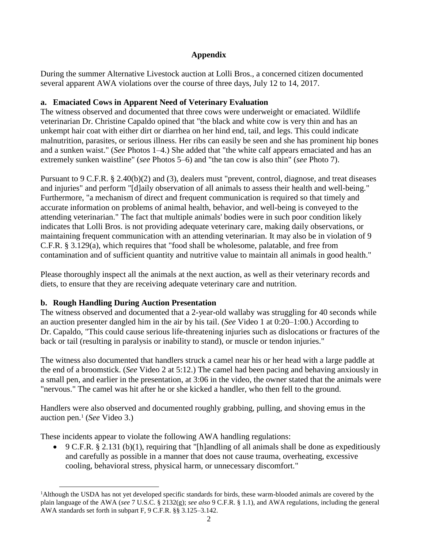# **Appendix**

During the summer Alternative Livestock auction at Lolli Bros., a concerned citizen documented several apparent AWA violations over the course of three days, July 12 to 14, 2017.

# **a. Emaciated Cows in Apparent Need of Veterinary Evaluation**

The witness observed and documented that three cows were underweight or emaciated. Wildlife veterinarian Dr. Christine Capaldo opined that "the black and white cow is very thin and has an unkempt hair coat with either dirt or diarrhea on her hind end, tail, and legs. This could indicate malnutrition, parasites, or serious illness. Her ribs can easily be seen and she has prominent hip bones and a sunken waist." (*See* Photos 1–4.) She added that "the white calf appears emaciated and has an extremely sunken waistline" (*see* Photos 5–6) and "the tan cow is also thin" (*see* Photo 7).

Pursuant to 9 C.F.R. § 2.40(b)(2) and (3), dealers must "prevent, control, diagnose, and treat diseases and injuries" and perform "[d]aily observation of all animals to assess their health and well-being." Furthermore, "a mechanism of direct and frequent communication is required so that timely and accurate information on problems of animal health, behavior, and well-being is conveyed to the attending veterinarian." The fact that multiple animals' bodies were in such poor condition likely indicates that Lolli Bros. is not providing adequate veterinary care, making daily observations, or maintaining frequent communication with an attending veterinarian. It may also be in violation of 9 C.F.R. § 3.129(a), which requires that "food shall be wholesome, palatable, and free from contamination and of sufficient quantity and nutritive value to maintain all animals in good health."

Please thoroughly inspect all the animals at the next auction, as well as their veterinary records and diets, to ensure that they are receiving adequate veterinary care and nutrition.

# **b. Rough Handling During Auction Presentation**

The witness observed and documented that a 2-year-old wallaby was struggling for 40 seconds while an auction presenter dangled him in the air by his tail. (*See* Video 1 at 0:20–1:00.) According to Dr. Capaldo, "This could cause serious life-threatening injuries such as dislocations or fractures of the back or tail (resulting in paralysis or inability to stand), or muscle or tendon injuries."

The witness also documented that handlers struck a camel near his or her head with a large paddle at the end of a broomstick. (*See* Video 2 at 5:12.) The camel had been pacing and behaving anxiously in a small pen, and earlier in the presentation, at 3:06 in the video, the owner stated that the animals were "nervous." The camel was hit after he or she kicked a handler, who then fell to the ground.

Handlers were also observed and documented roughly grabbing, pulling, and shoving emus in the auction pen. 1 (*See* Video 3.)

These incidents appear to violate the following AWA handling regulations:

 $\bullet$  9 C.F.R. § 2.131 (b)(1), requiring that "[h]andling of all animals shall be done as expeditiously and carefully as possible in a manner that does not cause trauma, overheating, excessive cooling, behavioral stress, physical harm, or unnecessary discomfort."

 $\overline{a}$ <sup>1</sup>Although the USDA has not yet developed specific standards for birds, these warm-blooded animals are covered by the plain language of the AWA (*see* 7 U.S.C. § 2132(g); *see also* 9 C.F.R. § 1.1), and AWA regulations, including the general AWA standards set forth in subpart F, 9 C.F.R. §§ 3.125–3.142.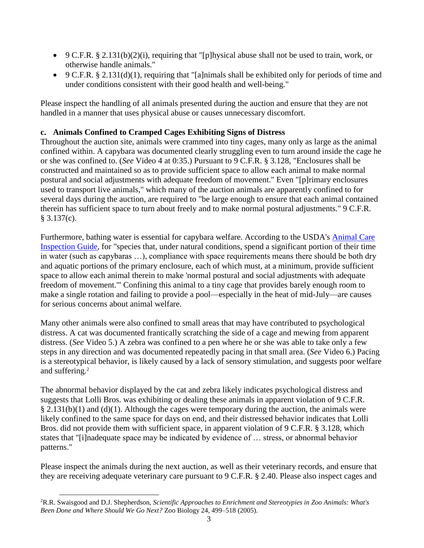- 9 C.F.R. § 2.131(b)(2)(i), requiring that "[p]hysical abuse shall not be used to train, work, or otherwise handle animals."
- 9 C.F.R. § 2.131(d)(1), requiring that "[a]nimals shall be exhibited only for periods of time and under conditions consistent with their good health and well-being."

Please inspect the handling of all animals presented during the auction and ensure that they are not handled in a manner that uses physical abuse or causes unnecessary discomfort.

#### **c. Animals Confined to Cramped Cages Exhibiting Signs of Distress**

Throughout the auction site, animals were crammed into tiny cages, many only as large as the animal confined within. A capybara was documented clearly struggling even to turn around inside the cage he or she was confined to. (*See* Video 4 at 0:35.) Pursuant to 9 C.F.R. § 3.128, "Enclosures shall be constructed and maintained so as to provide sufficient space to allow each animal to make normal postural and social adjustments with adequate freedom of movement." Even "[p]rimary enclosures used to transport live animals," which many of the auction animals are apparently confined to for several days during the auction, are required to "be large enough to ensure that each animal contained therein has sufficient space to turn about freely and to make normal postural adjustments." 9 C.F.R.  $§ 3.137(c).$ 

Furthermore, bathing water is essential for capybara welfare. According to the USDA's [Animal Care](https://www.aphis.usda.gov/animal_welfare/downloads/Animal-Care-Inspection-Guide.pdf)  [Inspection Guide,](https://www.aphis.usda.gov/animal_welfare/downloads/Animal-Care-Inspection-Guide.pdf) for "species that, under natural conditions, spend a significant portion of their time in water (such as capybaras …), compliance with space requirements means there should be both dry and aquatic portions of the primary enclosure, each of which must, at a minimum, provide sufficient space to allow each animal therein to make 'normal postural and social adjustments with adequate freedom of movement.'" Confining this animal to a tiny cage that provides barely enough room to make a single rotation and failing to provide a pool—especially in the heat of mid-July—are causes for serious concerns about animal welfare.

Many other animals were also confined to small areas that may have contributed to psychological distress. A cat was documented frantically scratching the side of a cage and mewing from apparent distress. (*See* Video 5.) A zebra was confined to a pen where he or she was able to take only a few steps in any direction and was documented repeatedly pacing in that small area. (*See* Video 6.) Pacing is a stereotypical behavior, is likely caused by a lack of sensory stimulation, and suggests poor welfare and suffering.<sup>2</sup>

The abnormal behavior displayed by the cat and zebra likely indicates psychological distress and suggests that Lolli Bros. was exhibiting or dealing these animals in apparent violation of 9 C.F.R.  $\S 2.131(b)(1)$  and (d)(1). Although the cages were temporary during the auction, the animals were likely confined to the same space for days on end, and their distressed behavior indicates that Lolli Bros. did not provide them with sufficient space, in apparent violation of 9 C.F.R. § 3.128, which states that "[i]nadequate space may be indicated by evidence of … stress, or abnormal behavior patterns."

Please inspect the animals during the next auction, as well as their veterinary records, and ensure that they are receiving adequate veterinary care pursuant to 9 C.F.R. § 2.40. Please also inspect cages and

 $\overline{a}$ 

<sup>2</sup>R.R. Swaisgood and D.J. Shepherdson, *Scientific Approaches to Enrichment and Stereotypies in Zoo Animals: What's Been Done and Where Should We Go Next?* Zoo Biology 24, 499–518 (2005).